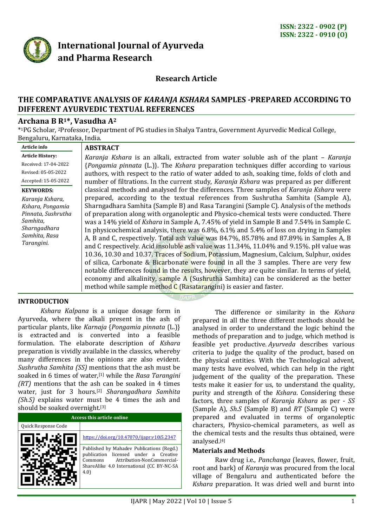

# **International Journal of Ayurveda and Pharma Research**

# **Research Article**

# **THE COMPARATIVE ANALYSIS OF** *KARANJA KSHARA* **SAMPLES -PREPARED ACCORDING TO DIFFERENT AYURVEDIC TEXTUAL REFERENCES**

# **Archana B R1\*, Vasudha A<sup>2</sup>**

\* <sup>1</sup>PG Scholar, 2Professor, Department of PG studies in Shalya Tantra, Government Ayurvedic Medical College, Bengaluru, Karnataka, India.

|                                                                                                                                    | <b>ABSTRACT</b>                                                                                                                                                                                                                                                                                                                                                                                                                                                                                                                                                                                                                                                                                                                                                                                                                                                                                                                                                                                                                                                                                          |
|------------------------------------------------------------------------------------------------------------------------------------|----------------------------------------------------------------------------------------------------------------------------------------------------------------------------------------------------------------------------------------------------------------------------------------------------------------------------------------------------------------------------------------------------------------------------------------------------------------------------------------------------------------------------------------------------------------------------------------------------------------------------------------------------------------------------------------------------------------------------------------------------------------------------------------------------------------------------------------------------------------------------------------------------------------------------------------------------------------------------------------------------------------------------------------------------------------------------------------------------------|
| Article info<br><b>Article History:</b><br>Received: 17-04-2022<br>Revised: 05-05-2022<br>Accepted: 15-05-2022<br><b>KEYWORDS:</b> | Karanja Kshara is an alkali, extracted from water soluble ash of the plant – Karanja<br>{Pongamia pinnata (L.)}. The Kshara preparation techniques differ according to various<br>authors, with respect to the ratio of water added to ash, soaking time, folds of cloth and<br>number of filtrations. In the current study, Karanja Kshara was prepared as per different<br>classical methods and analysed for the differences. Three samples of Karanja Kshara were                                                                                                                                                                                                                                                                                                                                                                                                                                                                                                                                                                                                                                    |
| Karanja Kshara,<br>Kshara, Pongamia<br>Pinnata, Sushrutha<br>Samhita,<br>Sharngadhara<br>Samhita, Rasa<br>Tarangini.               | prepared, according to the textual references from Sushrutha Samhita (Sample A),<br>Sharngadhara Samhita (Sample B) and Rasa Tarangini (Sample C). Analysis of the methods<br>of preparation along with organoleptic and Physico-chemical tests were conducted. There<br>was a 14% yield of Kshara in Sample A, 7.45% of yield in Sample B and 7.54% in Sample C.<br>In physicochemical analysis, there was 6.8%, 6.1% and 5.4% of loss on drying in Samples<br>A, B and C, respectively. Total ash value was 84.7%, 85.78% and 87.89% in Samples A, B<br>and C respectively. Acid insoluble ash value was 11.34%, 11.04% and 9.15%. pH value was<br>10.36, 10.30 and 10.37. Traces of Sodium, Potassium, Magnesium, Calcium, Sulphur, oxides<br>of silica, Carbonate & Bicarbonate were found in all the 3 samples. There are very few<br>notable differences found in the results, however, they are quite similar. In terms of yield,<br>economy and alkalinity, sample A (Sushrutha Samhita) can be considered as the better<br>method while sample method $C$ (Rasatarangini) is easier and faster. |

#### **INTRODUCTION**

*Kshara Kalpana* is a unique dosage form in Ayurveda, where the alkali present in the ash of particular plants, like *Karnaja* {*Pongamia pinnata* (L.)} is extracted and is converted into a feasible formulation. The elaborate description of *Kshara* preparation is vividly available in the classics, whereby many differences in the opinions are also evident. *Sushrutha Samhita (SS)* mentions that the ash must be soaked in 6 times of water,[1] while the *Rasa Tarangini (RT)* mentions that the ash can be soaked in 4 times water, just for 3 hours.[2] *Sharangadhara Samhita (Sh.S)* explains water must be 4 times the ash and should be soaked overnight.[3]

| <b>Access this article online</b> |                                                                                                                                                                                    |  |  |
|-----------------------------------|------------------------------------------------------------------------------------------------------------------------------------------------------------------------------------|--|--|
| Quick Response Code               |                                                                                                                                                                                    |  |  |
|                                   | https://doi.org/10.47070/ijapr.v10i5.2347                                                                                                                                          |  |  |
|                                   | Published by Mahadev Publications (Regd.)<br>licensed under a Creative<br>publication<br>Attribution-NonCommercial-<br>Commons<br>ShareAlike 4.0 International (CC BY-NC-SA<br>4.0 |  |  |

The difference or similarity in the *Kshara*  prepared in all the three different methods should be analysed in order to understand the logic behind the methods of preparation and to judge, which method is feasible yet productive. *Ayurveda* describes various criteria to judge the quality of the product, based on the physical entities. With the Technological advent, many tests have evolved, which can help in the right judgement of the quality of the preparation. These tests make it easier for us, to understand the quality, purity and strength of the *Kshara*. Considering these factors, three samples of *Karanja Kshara* as per - *SS* (Sample A), *Sh.S* (Sample B) and *RT* (Sample C) were prepared and evaluated in terms of organoleptic characters, Physico-chemical parameters, as well as the chemical tests and the results thus obtained, were analysed.[4]

#### **Materials and Methods**

Raw drug i.e., *Panchanga* (leaves, flower, fruit, root and bark) of *Karanja* was procured from the local village of Bengaluru and authenticated before the *Kshara* preparation. It was dried well and burnt into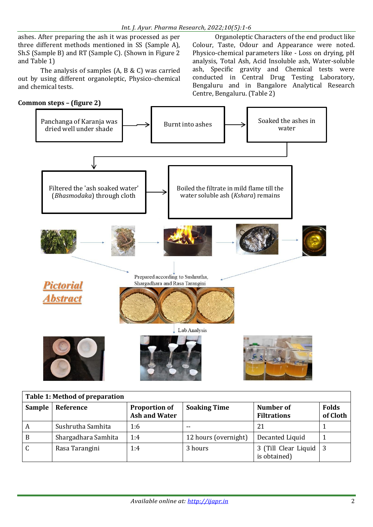ashes. After preparing the ash it was processed as per three different methods mentioned in SS (Sample A), Sh.S (Sample B) and RT (Sample C). (Shown in Figure 2 and Table 1)

The analysis of samples (A, B & C) was carried out by using different organoleptic, Physico-chemical and chemical tests.



Organoleptic Characters of the end product like Colour, Taste, Odour and Appearance were noted. Physico-chemical parameters like - Loss on drying, pH analysis, Total Ash, Acid Insoluble ash, Water-soluble ash, Specific gravity and Chemical tests were conducted in Central Drug Testing Laboratory, Bengaluru and in Bangalore Analytical Research Centre, Bengaluru. (Table 2)



| Table 1: Method of preparation |                     |                                              |                      |                                          |                          |
|--------------------------------|---------------------|----------------------------------------------|----------------------|------------------------------------------|--------------------------|
| <b>Sample</b>                  | Reference           | <b>Proportion of</b><br><b>Ash and Water</b> | <b>Soaking Time</b>  | Number of<br><b>Filtrations</b>          | <b>Folds</b><br>of Cloth |
| A                              | Sushrutha Samhita   | 1:6                                          | $ -$                 | 21                                       |                          |
| B                              | Shargadhara Samhita | 1:4                                          | 12 hours (overnight) | Decanted Liquid                          |                          |
| $\mathsf{C}$                   | Rasa Tarangini      | 1:4                                          | 3 hours              | 3 (Till Clear Liquid   3<br>is obtained) |                          |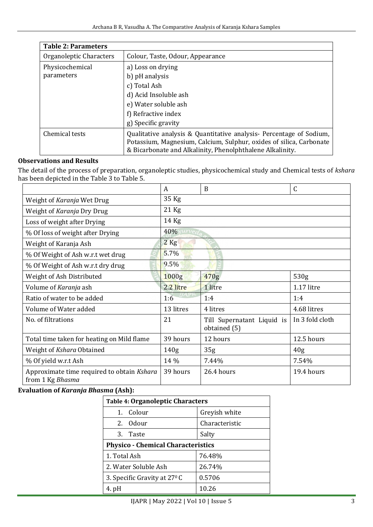| <b>Table 2: Parameters</b>           |                                                                                                                                                                                                          |  |  |
|--------------------------------------|----------------------------------------------------------------------------------------------------------------------------------------------------------------------------------------------------------|--|--|
| Organoleptic Characters              | Colour, Taste, Odour, Appearance                                                                                                                                                                         |  |  |
| a) Loss on drying<br>Physicochemical |                                                                                                                                                                                                          |  |  |
| parameters                           | b) pH analysis                                                                                                                                                                                           |  |  |
|                                      | c) Total Ash                                                                                                                                                                                             |  |  |
|                                      | d) Acid Insoluble ash                                                                                                                                                                                    |  |  |
|                                      | e) Water soluble ash                                                                                                                                                                                     |  |  |
|                                      | f) Refractive index                                                                                                                                                                                      |  |  |
|                                      | g) Specific gravity                                                                                                                                                                                      |  |  |
| Chemical tests                       | Qualitative analysis & Quantitative analysis - Percentage of Sodium,<br>Potassium, Magnesium, Calcium, Sulphur, oxides of silica, Carbonate<br>& Bicarbonate and Alkalinity, Phenolphthalene Alkalinity. |  |  |

## **Observations and Results**

The detail of the process of preparation, organoleptic studies, physicochemical study and Chemical tests of *kshara* has been depicted in the Table 3 to Table 5.

|                                                                | A                | B                                          | C               |  |
|----------------------------------------------------------------|------------------|--------------------------------------------|-----------------|--|
| Weight of Karanja Wet Drug                                     | 35 Kg            |                                            |                 |  |
| Weight of Karanja Dry Drug                                     | $21$ Kg          |                                            |                 |  |
| Loss of weight after Drying                                    | 14 Kg            |                                            |                 |  |
| % Of loss of weight after Drying                               | 40%              |                                            |                 |  |
| Weight of Karanja Ash                                          | $2$ Kg           |                                            |                 |  |
| 5.7%<br>% Of Weight of Ash w.r.t wet drug                      |                  |                                            |                 |  |
| % Of Weight of Ash w.r.t dry drug                              | 9.5%             |                                            |                 |  |
| Weight of Ash Distributed                                      | 1000g            | 470g                                       | 530g            |  |
| Volume of Karanja ash                                          | 2.2 litre        | 1 litre                                    | $1.17$ litre    |  |
| Ratio of water to be added                                     | 1:6              | 1:4                                        | 1:4             |  |
| Volume of Water added                                          | 13 litres        | 4 litres                                   | 4.68 litres     |  |
| No. of filtrations                                             | 21               | Till Supernatant Liquid is<br>obtained (5) | In 3 fold cloth |  |
| Total time taken for heating on Mild flame                     | 39 hours         | 12 hours                                   | 12.5 hours      |  |
| Weight of Kshara Obtained                                      | 140 <sub>g</sub> | 35 <sub>g</sub>                            | 40 <sub>g</sub> |  |
| % Of yield w.r.t Ash                                           | 14 %             | 7.44%                                      | 7.54%           |  |
| Approximate time required to obtain Kshara<br>from 1 Kg Bhasma | 39 hours         | 26.4 hours                                 | 19.4 hours      |  |

### **Evaluation of** *Karanja Bhasma* **(Ash):**

| <b>Table 4: Organoleptic Characters</b>   |                |  |  |
|-------------------------------------------|----------------|--|--|
| Colour<br>$1_{-}$                         | Greyish white  |  |  |
| 2. Odour                                  | Characteristic |  |  |
| 3. Taste                                  | Salty          |  |  |
| <b>Physico - Chemical Characteristics</b> |                |  |  |
| 1. Total Ash                              | 76.48%         |  |  |
| 2. Water Soluble Ash                      | 26.74%         |  |  |
| 3. Specific Gravity at 27 <sup>°</sup> C  | 0.5706         |  |  |
| 4. pH                                     | 10.26          |  |  |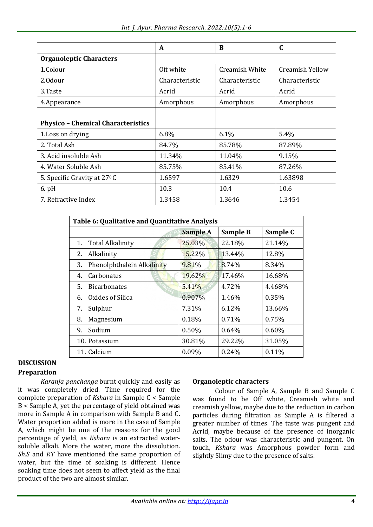|                                           | A              | B              | $\mathbf C$     |
|-------------------------------------------|----------------|----------------|-----------------|
| <b>Organoleptic Characters</b>            |                |                |                 |
| 1.Colour                                  | Off white      | Creamish White | Creamish Yellow |
| 2.0dour                                   | Characteristic | Characteristic | Characteristic  |
| 3.Taste                                   | Acrid          | Acrid          | Acrid           |
| 4.Appearance                              | Amorphous      | Amorphous      | Amorphous       |
|                                           |                |                |                 |
| <b>Physico - Chemical Characteristics</b> |                |                |                 |
| 1. Loss on drying                         | 6.8%           | 6.1%           | 5.4%            |
| 2. Total Ash                              | 84.7%          | 85.78%         | 87.89%          |
| 3. Acid insoluble Ash                     | 11.34%         | 11.04%         | 9.15%           |
| 4. Water Soluble Ash                      | 85.75%         | 85.41%         | 87.26%          |
| 5. Specific Gravity at 27 <sup>°</sup> C  | 1.6597         | 1.6329         | 1.63898         |
| $6.$ pH                                   | 10.3           | 10.4           | 10.6            |
| 7. Refractive Index                       | 1.3458         | 1.3646         | 1.3454          |

| Table 6: Qualitative and Quantitative Analysis |                            |                 |          |          |
|------------------------------------------------|----------------------------|-----------------|----------|----------|
|                                                |                            | <b>Sample A</b> | Sample B | Sample C |
| 1.                                             | <b>Total Alkalinity</b>    | 25.03%          | 22.18%   | 21.14%   |
| 2.                                             | Alkalinity                 | 15.22%          | 13.44%   | 12.8%    |
| 3.                                             | Phenolphthalein Alkalinity | 9.81%           | 8.74%    | 8.34%    |
| 4.                                             | <b>Carbonates</b>          | 19.62%          | 17.46%   | 16.68%   |
| 5.                                             | <b>Bicarbonates</b>        | 5.41%           | 4.72%    | 4.468%   |
| 6.                                             | Oxides of Silica           | 0.907%          | 1.46%    | 0.35%    |
| 7.                                             | Sulphur                    | 7.31%           | 6.12%    | 13.66%   |
| 8.                                             | Magnesium                  | 0.18%           | 0.71%    | 0.75%    |
| 9.                                             | Sodium                     | 0.50%           | $0.64\%$ | 0.60%    |
|                                                | 10. Potassium              | 30.81%          | 29.22%   | 31.05%   |
|                                                | 11. Calcium                | 0.09%           | 0.24%    | 0.11%    |

# **DISCUSSION**

# **Preparation**

*Karanja panchanga* burnt quickly and easily as it was completely dried. Time required for the complete preparation of *Kshara* in Sample C < Sample B < Sample A, yet the percentage of yield obtained was more in Sample A in comparison with Sample B and C. Water proportion added is more in the case of Sample A, which might be one of the reasons for the good percentage of yield, as *Kshara* is an extracted watersoluble alkali. More the water, more the dissolution. *Sh.S* and *RT* have mentioned the same proportion of water, but the time of soaking is different. Hence soaking time does not seem to affect yield as the final product of the two are almost similar.

#### **Organoleptic characters**

Colour of Sample A, Sample B and Sample C was found to be Off white, Creamish white and creamish yellow, maybe due to the reduction in carbon particles during filtration as Sample A is filtered a greater number of times. The taste was pungent and Acrid, maybe because of the presence of inorganic salts. The odour was characteristic and pungent. On touch, *Kshara* was Amorphous powder form and slightly Slimy due to the presence of salts.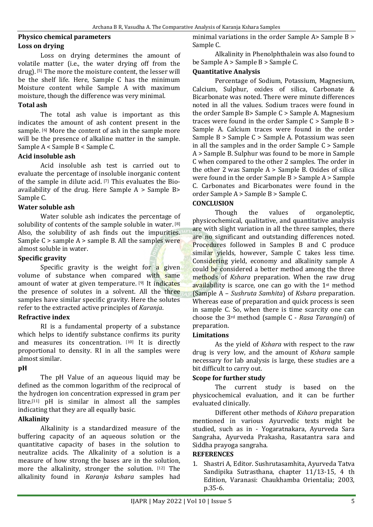#### **Physico chemical parameters Loss on drying**

Loss on drying determines the amount of volatile matter (i.e., the water drying off from the drug). [5] The more the moisture content, the lesser will be the shelf life. Here, Sample C has the minimum Moisture content while Sample A with maximum moisture, though the difference was very minimal.

# **Total ash**

The total ash value is important as this indicates the amount of ash content present in the sample. [6] More the content of ash in the sample more will be the presence of alkaline matter in the sample. Sample A < Sample B < Sample C.

### **Acid insoluble ash**

Acid insoluble ash test is carried out to evaluate the percentage of insoluble inorganic content of the sample in dilute acid. [7] This evaluates the Bioavailability of the drug. Here Sample A > Sample B> Sample C.

#### **Water soluble ash**

Water soluble ash indicates the percentage of solubility of contents of the sample soluble in water. [8] Also, the solubility of ash finds out the impurities. Sample  $C >$  sample  $A >$  sample B. All the samples were almost soluble in water.

### **Specific gravity**

Specific gravity is the weight for a given volume of substance when compared with same amount of water at given temperature. [9] It indicates the presence of solutes in a solvent. All the three samples have similar specific gravity. Here the solutes refer to the extracted active principles of *Karanja*.

#### **Refractive index**

RI is a fundamental property of a substance which helps to identify substance confirms its purity and measures its concentration. [10] It is directly proportional to density. RI in all the samples were almost similar.

#### **pH**

The pH Value of an aqueous liquid may be defined as the common logarithm of the reciprocal of the hydrogen ion concentration expressed in gram per litre.[11] pH is similar in almost all the samples indicating that they are all equally basic.

#### **Alkalinity**

Alkalinity is a standardized measure of the buffering capacity of an aqueous solution or the quantitative capacity of bases in the solution to neutralize acids. The Alkalinity of a solution is a measure of how strong the bases are in the solution, more the alkalinity, stronger the solution. [12] The alkalinity found in *Karanja kshara* samples had

minimal variations in the order Sample A> Sample B > Sample C.

Alkalinity in Phenolphthalein was also found to be Sample A > Sample B > Sample C.

## **Quantitative Analysis**

Percentage of Sodium, Potassium, Magnesium, Calcium, Sulphur, oxides of silica, Carbonate & Bicarbonate was noted. There were minute differences noted in all the values. Sodium traces were found in the order Sample B> Sample C > Sample A. Magnesium traces were found in the order Sample C > Sample B > Sample A. Calcium traces were found in the order Sample B > Sample C > Sample A. Potassium was seen in all the samples and in the order Sample C > Sample A > Sample B. Sulphur was found to be more in Sample C when compared to the other 2 samples. The order in the other 2 was Sample A > Sample B. Oxides of silica were found in the order Sample B > Sample A > Sample C. Carbonates and Bicarbonates were found in the order Sample A > Sample B > Sample C.

# **CONCLUSION**

Though the values of organoleptic, physicochemical, qualitative, and quantitative analysis are with slight variation in all the three samples, there are no significant and outstanding differences noted. Procedures followed in Samples B and C produce similar vields, however, Sample C takes less time. Considering yield, economy and alkalinity sample A could be considered a better method among the three methods of *Kshara* preparation. When the raw drug availability is scarce, one can go with the 1st method (Sample A – *Sushruta Samhita*) of *Kshara* preparation. Whereas ease of preparation and quick process is seen in sample C. So, when there is time scarcity one can choose the 3rd method (sample C - *Rasa Tarangini*) of preparation.

#### **Limitations**

As the yield of *Kshara* with respect to the raw drug is very low, and the amount of *Kshara* sample necessary for lab analysis is large, these studies are a bit difficult to carry out.

# **Scope for further study**

The current study is based on the physicochemical evaluation, and it can be further evaluated clinically.

Different other methods of *Kshara* preparation mentioned in various Ayurvedic texts might be studied, such as in - Yogaratnakara, Ayurveda Sara Sangraha, Ayurveda Prakasha, Rasatantra sara and Siddha prayoga sangraha.

#### **REFERENCES**

1. Shastri A, Editor. Sushrutasamhita, Ayurveda Tatva Sandipika Sutrasthana, chapter 11/13-15, 4 th Edition, Varanasi: Chaukhamba Orientalia; 2003, p.35-6.